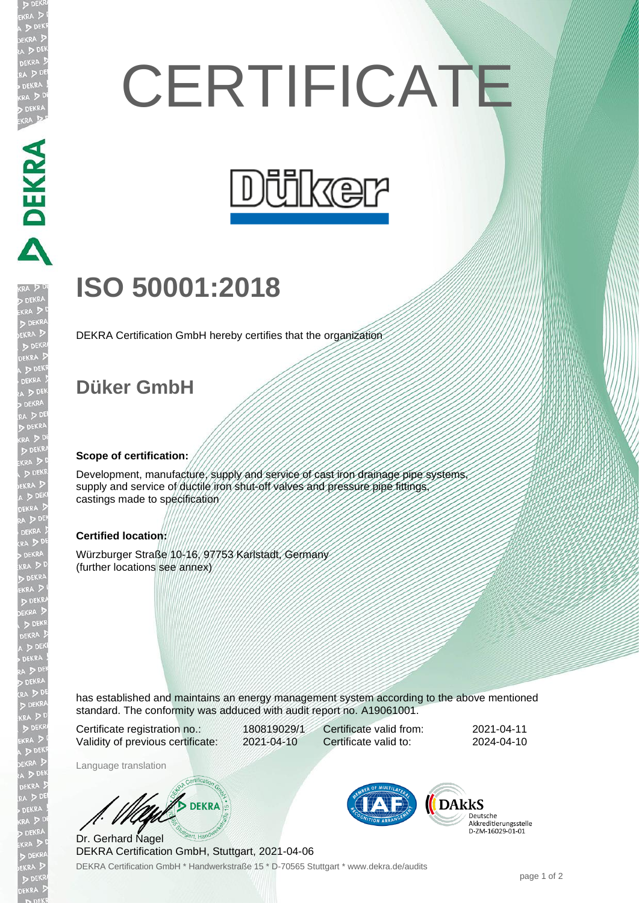# **CERTIFICATE**



## **ISO 50001:2018**

DEKRA Certification GmbH hereby certifies that the organization

### **Düker GmbH**

#### **Scope of certification:**

Development, manufacture, supply and service of cast iron drainage pipe systems supply and service of ductile iron shut-off valves and pressure pipe fittings, castings made to specification

#### **Certified location:**

Würzburger Straße 10-16, 97753 Karlstadt, Germany (further locations see annex)

has established and maintains an energy management system according to the above mentioned standard. The conformity was adduced with audit report no. A19061001.

Certificate registration no.: 180819029/1 Validity of previous certificate: 2021-04-10

Certificate valid from: 2021-04-11 Certificate valid to: 2024-04-10

Language translation

**B** DEKRA

DEKRA Certification GmbH \* Handwerkstraße 15 \* D-70565 Stuttgart \* www.dekra.de/audits Dr. Gerhard Nagel DEKRA Certification GmbH, Stuttgart, 2021-04-06



Deutsche Akkreditierungsstelle<br>D-ZM-16029-01-01

DEKRA DEKRA DEKRA